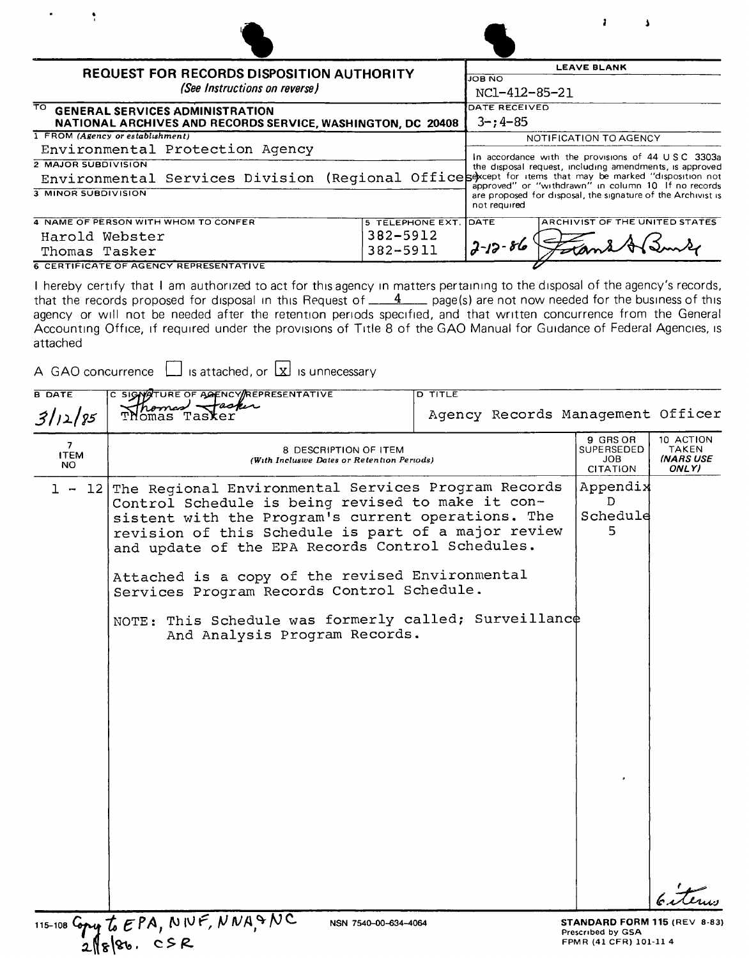| (See Instructions on reverse)                                                                        |                                                                                                                                     | <b>JOB NO</b>                  |  |
|------------------------------------------------------------------------------------------------------|-------------------------------------------------------------------------------------------------------------------------------------|--------------------------------|--|
|                                                                                                      | REQUEST FOR RECORDS DISPOSITION AUTHORITY                                                                                           |                                |  |
|                                                                                                      |                                                                                                                                     |                                |  |
| TO.<br><b>GENERAL SERVICES ADMINISTRATION</b>                                                        | DATE RECEIVED                                                                                                                       |                                |  |
| NATIONAL ARCHIVES AND RECORDS SERVICE, WASHINGTON, DC 20408                                          | $3 - 14 - 85$                                                                                                                       |                                |  |
| 1 FROM (Agency or establishment)                                                                     |                                                                                                                                     | NOTIFICATION TO AGENCY         |  |
| Environmental Protection Agency                                                                      | In accordance with the provisions of 44 USC 3303a                                                                                   |                                |  |
| <b>2 MAJOR SUBDIVISION</b>                                                                           | the disposal request, including amendments, is approved                                                                             |                                |  |
| Environmental Services Division (Regional Offices over the items that may be marked "disposition not |                                                                                                                                     |                                |  |
| 3 MINOR SUBDIVISION                                                                                  | approved" or "withdrawn" in column 10 If no records<br>are proposed for disposal, the signature of the Archivist is<br>not required |                                |  |
| 4 NAME OF PERSON WITH WHOM TO CONFER                                                                 | 5 TELEPHONE EXT. DATE                                                                                                               | ARCHIVIST OF THE UNITED STATES |  |
| Harold Webster                                                                                       | 382-5912                                                                                                                            |                                |  |
| Thomas Tasker                                                                                        | $2 - 12 - 86$                                                                                                                       |                                |  |

 $\mathbf{r}$ 

 $\lambda$ 

THE CATE OF AGENCY REPRESENTATIVE<br>I hereby certify that I am authorized to act for this agency in matters pertaining to the disposal of the agency's records that the records proposed for disposal in this Request of \_\_\_<del>4</del> \_\_\_ page(s) are not now needed for the business of this agency or will not be needed after the retention periods specified, and that written concurrence from the Genera Accounting Office, if required under the provisions of Title 8 of the GAO Manual for Guidance of Federal Agencies, is attached

A GAO concurrence  $\Box$  is attached, or  $\Box$  is unnecessary

 $\bullet$ 

| <b>B DATE</b>           | C SIGNATURE OF AGENCY/REPRESENTATIVE                                                                                                                                                                                                                                                                                                                                                                                                                                 | <u>ם דודנד</u>                                   |                                                 |                                                                            |  |
|-------------------------|----------------------------------------------------------------------------------------------------------------------------------------------------------------------------------------------------------------------------------------------------------------------------------------------------------------------------------------------------------------------------------------------------------------------------------------------------------------------|--------------------------------------------------|-------------------------------------------------|----------------------------------------------------------------------------|--|
| 3/12/85                 | askin                                                                                                                                                                                                                                                                                                                                                                                                                                                                | Agency Records Management Officer                |                                                 |                                                                            |  |
| 7<br><b>ITEM</b><br>NO. | 8 DESCRIPTION OF ITEM<br>(With Incluswe Dates or Retention Periods)                                                                                                                                                                                                                                                                                                                                                                                                  | 9 GRS OR<br>SUPERSEDED<br>JOB<br><b>CITATION</b> | 10 ACTION<br><b>TAKEN</b><br>(NARS USE<br>ONLY) |                                                                            |  |
| -121<br>$\perp$ $\sim$  | The Regional Environmental Services Program Records<br>Control Schedule is being revised to make it con-<br>sistent with the Program's current operations. The<br>revision of this Schedule is part of a major review<br>and update of the EPA Records Control Schedules.<br>Attached is a copy of the revised Environmental<br>Services Program Records Control Schedule.<br>NOTE: This Schedule was formerly called; Surveillance<br>And Analysis Program Records. |                                                  |                                                 | Appendix<br>D<br>Schedule<br>5.                                            |  |
|                         | 115-108 Copy to EPA, NWF, NNASNC<br>NSN 7540-00-634-4064                                                                                                                                                                                                                                                                                                                                                                                                             |                                                  |                                                 | STANDARD FORM 115 (REV 8-83)<br>Prescribed by GSA<br>FPMR (41 CFR) 101-114 |  |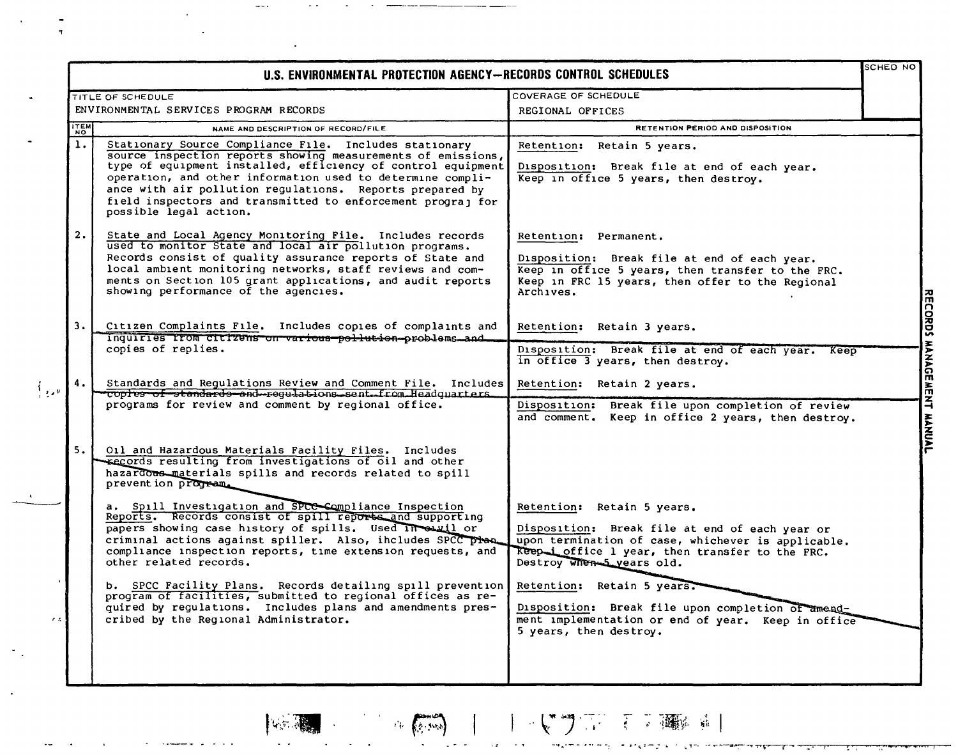|               | U.S. ENVIRONMENTAL PROTECTION AGENCY-RECORDS CONTROL SCHEDULES                                                                                                                                                                                                                                                                                                                                            |                                                                                                                                                                                                                    | SCHED NO |
|---------------|-----------------------------------------------------------------------------------------------------------------------------------------------------------------------------------------------------------------------------------------------------------------------------------------------------------------------------------------------------------------------------------------------------------|--------------------------------------------------------------------------------------------------------------------------------------------------------------------------------------------------------------------|----------|
|               | TITLE OF SCHEDULE<br>ENVIRONMENTAL SERVICES PROGRAM RECORDS                                                                                                                                                                                                                                                                                                                                               | COVERAGE OF SCHEDULE<br>REGIONAL OFFICES                                                                                                                                                                           |          |
| ITEM          | NAME AND DESCRIPTION OF RECORD/FILE                                                                                                                                                                                                                                                                                                                                                                       | <b>RETENTION PERIOD AND DISPOSITION</b>                                                                                                                                                                            |          |
| 1.            | Stationary Source Compliance File. Includes stationary<br>source inspection reports showing measurements of emissions,<br>type of equipment installed, efficiency of control equipment<br>operation, and other information used to determine compli-<br>ance with air pollution regulations. Reports prepared by<br>field inspectors and transmitted to enforcement prograj for<br>possible legal action. | Retain 5 years.<br><b>Retention:</b><br>Disposition: Break file at end of each year.<br>Keep in office 5 years, then destroy.                                                                                      |          |
| 2.            | State and Local Agency Monitoring File. Includes records<br>used to monitor State and local air pollution programs.<br>Records consist of quality assurance reports of State and<br>local ambient monitoring networks, staff reviews and com-<br>ments on Section 105 grant applications, and audit reports<br>showing performance of the agencies.                                                       | Retention: Permanent.<br>Disposition: Break file at end of each year.<br>Keep in office 5 years, then transfer to the FRC.<br>Keep in FRC 15 years, then offer to the Regional<br>Archives.                        |          |
| 3.1           | Citizen Complaints File. Includes copies of complaints and                                                                                                                                                                                                                                                                                                                                                | Retention: Retain 3 years.                                                                                                                                                                                         |          |
|               | inquiries from citizens on various pollution problems and<br>copies of replies.                                                                                                                                                                                                                                                                                                                           | Disposition: Break file at end of each year. Keep<br>in office 3 years, then destroy.                                                                                                                              |          |
| ا ر د         | Standards and Regulations Review and Comment File. Includes<br>Tuples of standards and regulations sent from Headquarters                                                                                                                                                                                                                                                                                 | Retention: Retain 2 years.                                                                                                                                                                                         |          |
|               | programs for review and comment by regional office.                                                                                                                                                                                                                                                                                                                                                       | Break file upon completion of review<br>Disposition:<br>and comment. Keep in office 2 years, then destroy.                                                                                                         |          |
| 5.1           | Oil and Hazardous Materials Facility Files. Includes<br>records resulting from investigations of oil and other<br>hazardous materials spills and records related to spill<br>prevent ion program.                                                                                                                                                                                                         |                                                                                                                                                                                                                    |          |
|               | a. Spill Investigation and SPCC Compliance Inspection<br>Reports. Records consist of spill reports and supporting<br>papers showing case history of spills. Used in ouvil or<br>criminal actions against spiller. Also, includes SPCC plan<br>compliance inspection reports, time extension requests, and<br>other related records.                                                                       | Retention: Retain 5 years.<br>Disposition: Break file at end of each year or<br>upon termination of case, whichever is applicable.<br>Reep i office 1 year, then transfer to the FRC.<br>Destroy when 5 years old. |          |
| $\mathcal{L}$ | b. SPCC Facility Plans. Records detailing spill prevention Retention: Retain 5 years.<br>program of facilities, submitted to regional offices as re-<br>quired by regulations. Includes plans and amendments pres-<br>cribed by the Regional Administrator.                                                                                                                                               | Disposition: Break file upon completion of amend-<br>ment implementation or end of year. Keep in office<br>5 years, then destroy.                                                                                  |          |
|               |                                                                                                                                                                                                                                                                                                                                                                                                           |                                                                                                                                                                                                                    |          |

Comment of the Comment

 $\label{eq:2.1} \left\langle \mathcal{L}_{\mathcal{N}}\right\rangle =\frac{1}{\sqrt{2\pi}}\sum_{\mathcal{N}\in\mathcal{N}}\left\langle \mathcal{L}_{\mathcal{N}}\right\rangle$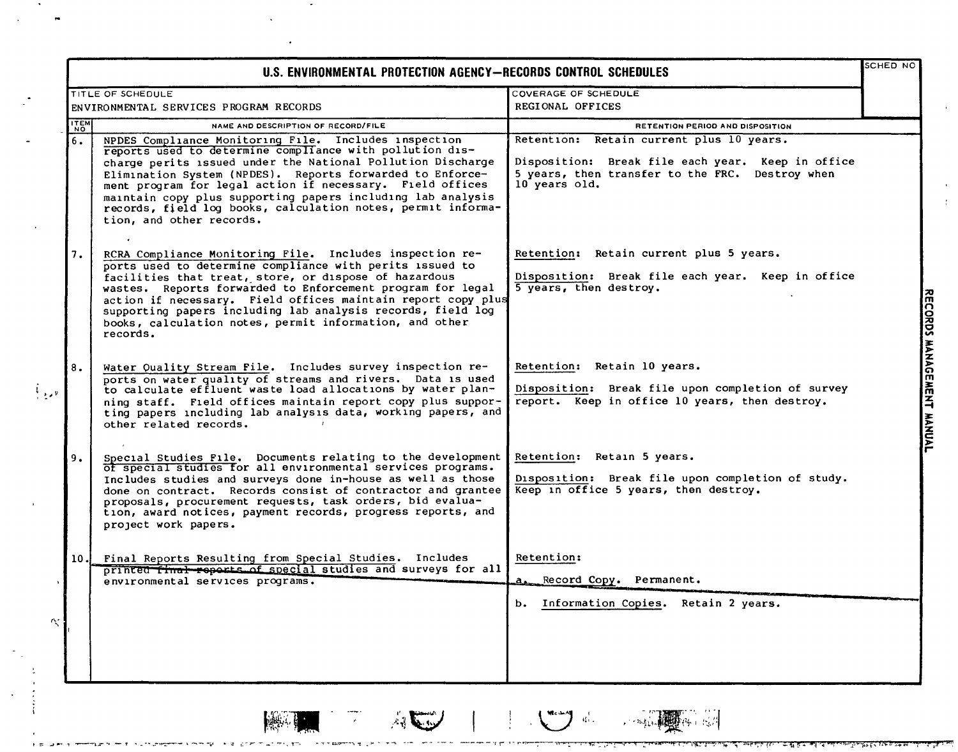| <b>TITLE OF SCHEDULE</b><br>ENVIRONMENTAL SERVICES PROGRAM RECORDS<br>NAME AND DESCRIPTION OF RECORD/FILE<br>NPDES Compliance Monitoring File. Includes inspection<br>reports used to determine compliance with pollution dis-<br>charge perits issued under the National Pollution Discharge<br>Elimination System (NPDES). Reports forwarded to Enforce-<br>ment program for legal action if necessary. Field offices<br>maintain copy plus supporting papers including lab analysis<br>records, field log books, calculation notes, permit informa-<br>tion, and other records. | COVERAGE OF SCHEDULE<br>REGIONAL OFFICES<br>RETENTION PERIOD AND DISPOSITION<br>Retention: Retain current plus 10 years.<br>Disposition: Break file each year. Keep in office<br>5 years, then transfer to the FRC. Destroy when<br>10 years old. |  |
|------------------------------------------------------------------------------------------------------------------------------------------------------------------------------------------------------------------------------------------------------------------------------------------------------------------------------------------------------------------------------------------------------------------------------------------------------------------------------------------------------------------------------------------------------------------------------------|---------------------------------------------------------------------------------------------------------------------------------------------------------------------------------------------------------------------------------------------------|--|
|                                                                                                                                                                                                                                                                                                                                                                                                                                                                                                                                                                                    |                                                                                                                                                                                                                                                   |  |
|                                                                                                                                                                                                                                                                                                                                                                                                                                                                                                                                                                                    |                                                                                                                                                                                                                                                   |  |
|                                                                                                                                                                                                                                                                                                                                                                                                                                                                                                                                                                                    |                                                                                                                                                                                                                                                   |  |
|                                                                                                                                                                                                                                                                                                                                                                                                                                                                                                                                                                                    |                                                                                                                                                                                                                                                   |  |
| RCRA Compliance Monitoring File. Includes inspection re-<br>ports used to determine compliance with perits issued to<br>facilities that treat, store, or dispose of hazardous<br>wastes. Reports forwarded to Enforcement program for legal<br>action if necessary. Field offices maintain report copy plus<br>supporting papers including lab analysis records, field log<br>books, calculation notes, permit information, and other<br>records.                                                                                                                                  | Retention: Retain current plus 5 years.<br>Disposition: Break file each year. Keep in office<br>5 years, then destroy.                                                                                                                            |  |
| Water Quality Stream File. Includes survey inspection re-<br>ports on water quality of streams and rivers. Data is used<br>to calculate effluent waste load allocations by water plan-<br>ning staff. Field offices maintain report copy plus suppor-<br>ting papers including lab analysis data, working papers, and<br>other related records.                                                                                                                                                                                                                                    | Retention: Retain 10 years.<br>Disposition: Break file upon completion of survey<br>report. Keep in office 10 years, then destroy.                                                                                                                |  |
| Special Studies File. Documents relating to the development<br>of special studies for all environmental services programs.<br>Includes studies and surveys done in-house as well as those<br>done on contract. Records consist of contractor and grantee<br>proposals, procurement requests, task orders, bid evalua-<br>tion, award notices, payment records, progress reports, and<br>project work papers.                                                                                                                                                                       | Retention: Retain 5 years.<br>Disposition: Break file upon completion of study.<br>Keep in office 5 years, then destroy.                                                                                                                          |  |
| Final Reports Resulting from Special Studies. Includes<br>printed final reports of special studies and surveys for all<br>environmental services programs.                                                                                                                                                                                                                                                                                                                                                                                                                         | Retention:<br>Record Copy. Permanent.<br>$a_{\bullet-}$<br>b.<br>Information Copies. Retain 2 years.                                                                                                                                              |  |
|                                                                                                                                                                                                                                                                                                                                                                                                                                                                                                                                                                                    |                                                                                                                                                                                                                                                   |  |

Julian Command

**CONTRACTOR** 

 $\frac{1}{\sqrt{2}}$ 

**1997**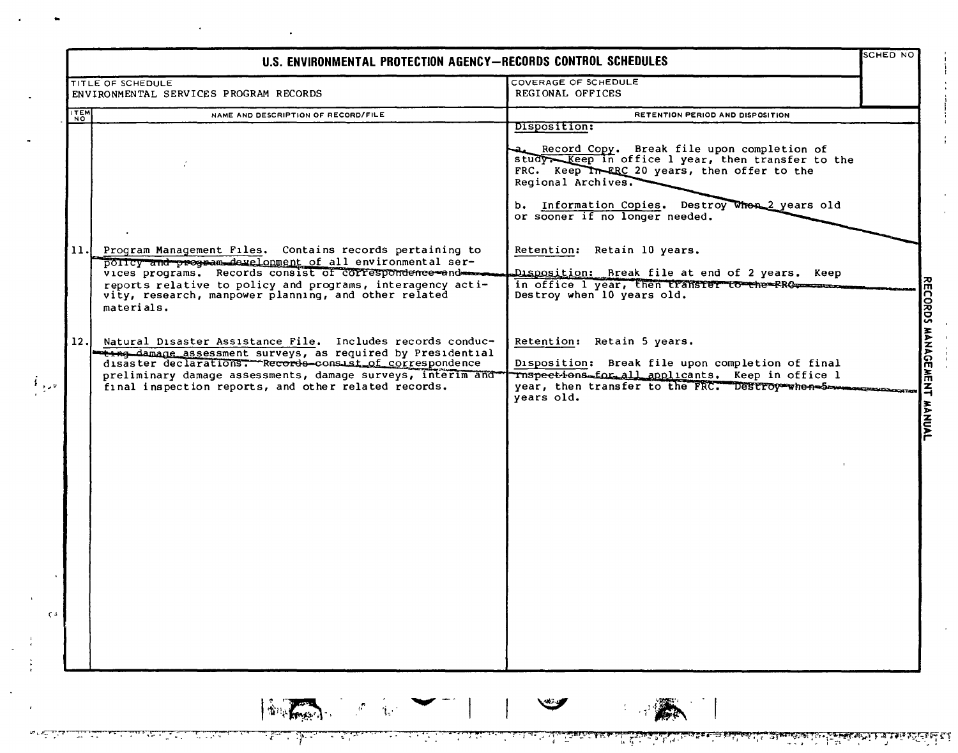|               | U.S. ENVIRONMENTAL PROTECTION AGENCY-RECORDS CONTROL SCHEDULES                                                          |                                                                                                 |  |
|---------------|-------------------------------------------------------------------------------------------------------------------------|-------------------------------------------------------------------------------------------------|--|
|               | TITLE OF SCHEDULE                                                                                                       | COVERAGE OF SCHEDULE                                                                            |  |
|               | ENVIRONMENTAL SERVICES PROGRAM RECORDS                                                                                  | REGIONAL OFFICES                                                                                |  |
| $\frac{1}{2}$ | NAME AND DESCRIPTION OF RECORD/FILE                                                                                     | RETENTION PERIOD AND DISPOSITION                                                                |  |
|               |                                                                                                                         | Disposition:                                                                                    |  |
|               |                                                                                                                         |                                                                                                 |  |
|               |                                                                                                                         | Record Copy. Break file upon completion of<br>study Keep in office 1 year, then transfer to the |  |
|               |                                                                                                                         | FRC. Keep In ERC 20 years, then offer to the                                                    |  |
|               |                                                                                                                         | Regional Archives.                                                                              |  |
|               |                                                                                                                         |                                                                                                 |  |
|               |                                                                                                                         | b. Information Copies. Destroy When 2 years old                                                 |  |
|               |                                                                                                                         | or sooner if no longer needed.                                                                  |  |
|               |                                                                                                                         |                                                                                                 |  |
|               | 11. Program Management Files. Contains records pertaining to                                                            | Retention: Retain 10 years.                                                                     |  |
|               | policy and program development of all environmental ser-                                                                |                                                                                                 |  |
|               | vices programs. Records consist of correspondence and                                                                   | Disposition: Break file at end of 2 years. Keep                                                 |  |
|               | reports relative to policy and programs, interagency acti-<br>vity, research, manpower planning, and other related      | Destroy when 10 years old.                                                                      |  |
|               | materials.                                                                                                              |                                                                                                 |  |
|               |                                                                                                                         |                                                                                                 |  |
|               |                                                                                                                         |                                                                                                 |  |
| 12.           | Natural Disaster Assistance File. Includes records conduc-                                                              | Retention: Retain 5 years.                                                                      |  |
|               | ting damage assessment surveys, as required by Presidential<br>disaster declarations. Records-consist of correspondence | Disposition: Break file upon completion of final                                                |  |
|               | preliminary damage assessments, damage surveys, interim and                                                             | Thspections for all applicants. Keep in office 1                                                |  |
|               | final inspection reports, and other related records.                                                                    | year, then transfer to the FRC. Destroy when Services                                           |  |
|               |                                                                                                                         | years old.                                                                                      |  |
|               |                                                                                                                         |                                                                                                 |  |
|               |                                                                                                                         |                                                                                                 |  |
|               |                                                                                                                         |                                                                                                 |  |
|               |                                                                                                                         |                                                                                                 |  |
|               |                                                                                                                         |                                                                                                 |  |
|               |                                                                                                                         |                                                                                                 |  |
|               |                                                                                                                         |                                                                                                 |  |
|               |                                                                                                                         |                                                                                                 |  |
|               |                                                                                                                         |                                                                                                 |  |
|               |                                                                                                                         |                                                                                                 |  |
|               |                                                                                                                         |                                                                                                 |  |
|               |                                                                                                                         |                                                                                                 |  |
|               |                                                                                                                         |                                                                                                 |  |
|               |                                                                                                                         |                                                                                                 |  |
|               |                                                                                                                         |                                                                                                 |  |
|               |                                                                                                                         |                                                                                                 |  |
|               |                                                                                                                         |                                                                                                 |  |
|               |                                                                                                                         |                                                                                                 |  |
|               |                                                                                                                         |                                                                                                 |  |
|               |                                                                                                                         |                                                                                                 |  |
|               |                                                                                                                         |                                                                                                 |  |
|               | <b>Definition of the Community</b>                                                                                      | $\mathbb{Z}$                                                                                    |  |
|               |                                                                                                                         |                                                                                                 |  |

 $\bullet$ 

بخلقيت

ها باستان الما

من بن

بنيني

التستطي

ta a she

<u>ٹاک اوکٹائلا پاکل اسٹاکا اسٹریٹونٹ اوڈان اسٹریٹ کے مقدمہ میڈیا اور میٹری اسٹریٹ اور اسٹریٹ اسٹریٹ کے ایک ایک ا<br>اسٹریکٹا پاکل اسٹاکا اسٹریٹونٹ اوڈان اسٹریٹ میٹریٹ اور اسٹریٹونٹ اسٹریٹ اسٹریٹ اور اسٹریٹ اسٹریٹ کے ایک ایک ا</u>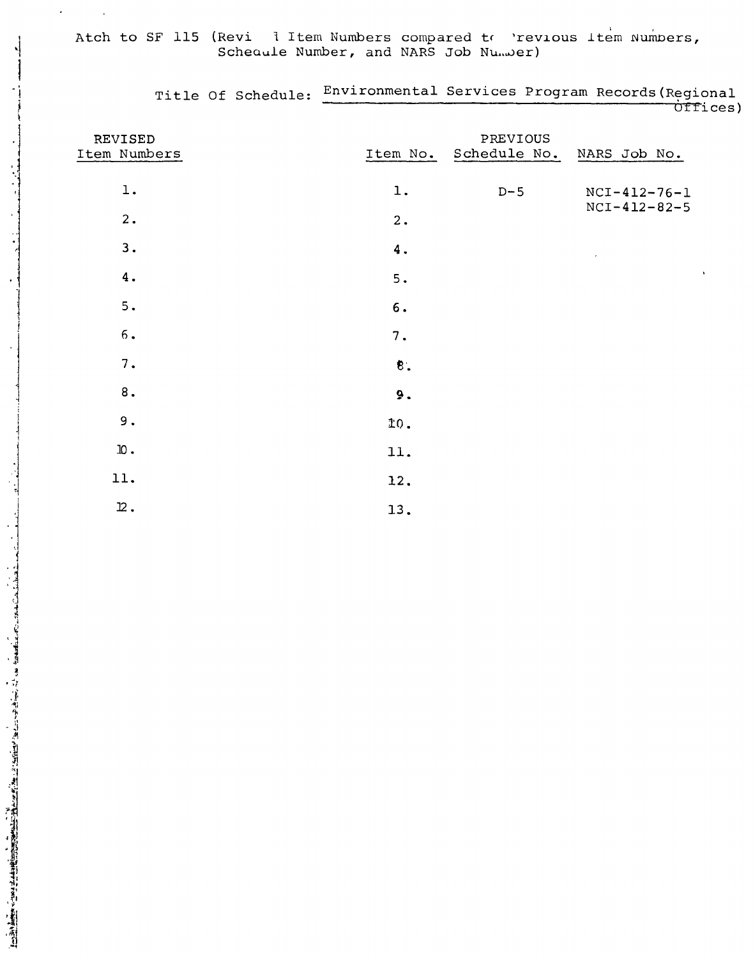## Atch to SF 115 (Revi 1 Item Numbers compared to 'revious Item Numbers,<br>Scheaule Number, and NARS Job Number)

| REVISED<br>Item Numbers   | Item No.           | PREVIOUS<br>Schedule No. | NARS Job No.   |
|---------------------------|--------------------|--------------------------|----------------|
| $1$ .                     | $\mathbf 1$ .      | $D-5$                    | $NCI-412-76-1$ |
| 2.                        | 2.                 |                          | $NCI-412-82-5$ |
| 3.                        | $\boldsymbol{4}$ . |                          | $\epsilon$     |
| 4.                        | 5.                 |                          | $\Lambda$      |
| 5.                        | $6. \,$            |                          |                |
| $\,6$ .                   | 7.                 |                          |                |
| 7.                        | $\pmb{8}$ .        |                          |                |
| $\bf 8$ .                 | 9.                 |                          |                |
| 9.                        | 10.                |                          |                |
| ${\bf n}$ .               | 11.                |                          |                |
| 11.                       | 12.                |                          |                |
| $\mathbf{\mathfrak{L}}$ . | 13.                |                          |                |

Title Of Schedule: Environmental Services Program Records (Regional

<del>ÒTT</del>ices)

 $\mathbf{v}$ 

 $\bar{z}$